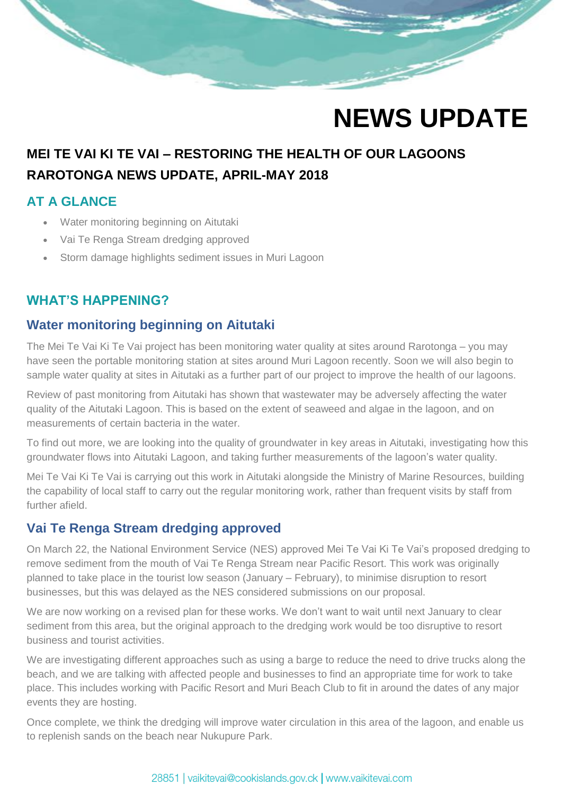

## **NEWS UPDATE**

## **MEI TE VAI KI TE VAI – RESTORING THE HEALTH OF OUR LAGOONS RAROTONGA NEWS UPDATE, APRIL-MAY 2018**

## **AT A GLANCE**

- Water monitoring beginning on Aitutaki
- Vai Te Renga Stream dredging approved
- Storm damage highlights sediment issues in Muri Lagoon

## **WHAT'S HAPPENING?**

## **Water monitoring beginning on Aitutaki**

The Mei Te Vai Ki Te Vai project has been monitoring water quality at sites around Rarotonga – you may have seen the portable monitoring station at sites around Muri Lagoon recently. Soon we will also begin to sample water quality at sites in Aitutaki as a further part of our project to improve the health of our lagoons.

Review of past monitoring from Aitutaki has shown that wastewater may be adversely affecting the water quality of the Aitutaki Lagoon. This is based on the extent of seaweed and algae in the lagoon, and on measurements of certain bacteria in the water.

To find out more, we are looking into the quality of groundwater in key areas in Aitutaki, investigating how this groundwater flows into Aitutaki Lagoon, and taking further measurements of the lagoon's water quality.

Mei Te Vai Ki Te Vai is carrying out this work in Aitutaki alongside the Ministry of Marine Resources, building the capability of local staff to carry out the regular monitoring work, rather than frequent visits by staff from further afield.

### **Vai Te Renga Stream dredging approved**

On March 22, the National Environment Service (NES) approved Mei Te Vai Ki Te Vai's proposed dredging to remove sediment from the mouth of Vai Te Renga Stream near Pacific Resort. This work was originally planned to take place in the tourist low season (January – February), to minimise disruption to resort businesses, but this was delayed as the NES considered submissions on our proposal.

We are now working on a revised plan for these works. We don't want to wait until next January to clear sediment from this area, but the original approach to the dredging work would be too disruptive to resort business and tourist activities.

We are investigating different approaches such as using a barge to reduce the need to drive trucks along the beach, and we are talking with affected people and businesses to find an appropriate time for work to take place. This includes working with Pacific Resort and Muri Beach Club to fit in around the dates of any major events they are hosting.

Once complete, we think the dredging will improve water circulation in this area of the lagoon, and enable us to replenish sands on the beach near Nukupure Park.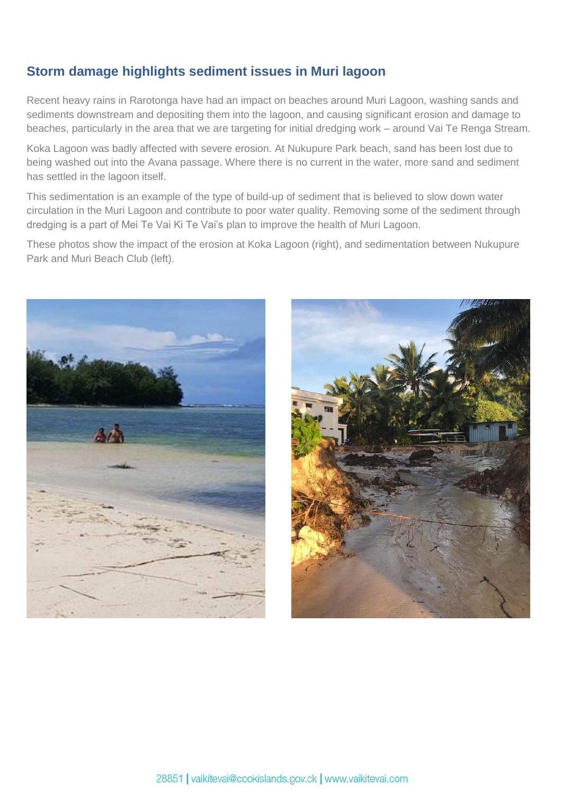## **Storm damage highlights sediment issues in Muri lagoon**

Recent heavy rains in Rarotonga have had an impact on beaches around Muri Lagoon, washing sands and sediments downstream and depositing them into the lagoon, and causing significant erosion and damage to beaches, particularly in the area that we are targeting for initial dredging work – around Vai Te Renga Stream.

Koka Lagoon was badly affected with severe erosion. At Nukupure Park beach, sand has been lost due to being washed out into the Avana passage. Where there is no current in the water, more sand and sediment has settled in the lagoon itself.

This sedimentation is an example of the type of build-up of sediment that is believed to slow down water circulation in the Muri Lagoon and contribute to poor water quality. Removing some of the sediment through dredging is a part of Mei Te Vai Ki Te Vai's plan to improve the health of Muri Lagoon.

These photos show the impact of the erosion at Koka Lagoon (right), and sedimentation between Nukupure Park and Muri Beach Club (left).



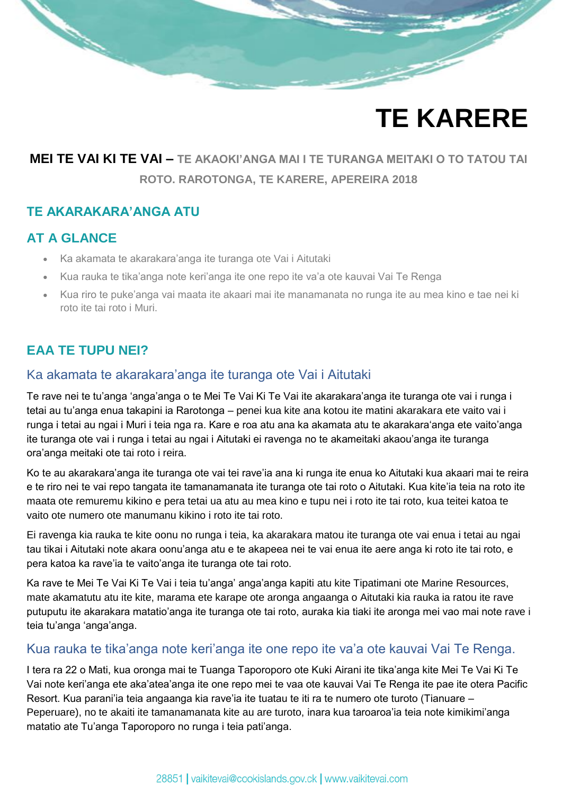# **TE KARERE**

## **MEI TE VAI KI TE VAI – TE AKAOKI'ANGA MAI I TE TURANGA MEITAKI O TO TATOU TAI ROTO. RAROTONGA, TE KARERE, APEREIRA 2018**

#### **TE AKARAKARA'ANGA ATU**

### **AT A GLANCE**

- Ka akamata te akarakara'anga ite turanga ote Vai i Aitutaki
- Kua rauka te tika'anga note keri'anga ite one repo ite va'a ote kauvai Vai Te Renga
- Kua riro te puke'anga vai maata ite akaari mai ite manamanata no runga ite au mea kino e tae nei ki roto ite tai roto i Muri.

## **EAA TE TUPU NEI?**

#### Ka akamata te akarakara'anga ite turanga ote Vai i Aitutaki

Te rave nei te tu'anga 'anga'anga o te Mei Te Vai Ki Te Vai ite akarakara'anga ite turanga ote vai i runga i tetai au tu'anga enua takapini ia Rarotonga – penei kua kite ana kotou ite matini akarakara ete vaito vai i runga i tetai au ngai i Muri i teia nga ra. Kare e roa atu ana ka akamata atu te akarakara'anga ete vaito'anga ite turanga ote vai i runga i tetai au ngai i Aitutaki ei ravenga no te akameitaki akaou'anga ite turanga ora'anga meitaki ote tai roto i reira.

Ko te au akarakara'anga ite turanga ote vai tei rave'ia ana ki runga ite enua ko Aitutaki kua akaari mai te reira e te riro nei te vai repo tangata ite tamanamanata ite turanga ote tai roto o Aitutaki. Kua kite'ia teia na roto ite maata ote remuremu kikino e pera tetai ua atu au mea kino e tupu nei i roto ite tai roto, kua teitei katoa te vaito ote numero ote manumanu kikino i roto ite tai roto.

Ei ravenga kia rauka te kite oonu no runga i teia, ka akarakara matou ite turanga ote vai enua i tetai au ngai tau tikai i Aitutaki note akara oonu'anga atu e te akapeea nei te vai enua ite aere anga ki roto ite tai roto, e pera katoa ka rave'ia te vaito'anga ite turanga ote tai roto.

Ka rave te Mei Te Vai Ki Te Vai i teia tu'anga' anga'anga kapiti atu kite Tipatimani ote Marine Resources, mate akamatutu atu ite kite, marama ete karape ote aronga angaanga o Aitutaki kia rauka ia ratou ite rave putuputu ite akarakara matatio'anga ite turanga ote tai roto, auraka kia tiaki ite aronga mei vao mai note rave i teia tu'anga 'anga'anga.

#### Kua rauka te tika'anga note keri'anga ite one repo ite va'a ote kauvai Vai Te Renga.

I tera ra 22 o Mati, kua oronga mai te Tuanga Taporoporo ote Kuki Airani ite tika'anga kite Mei Te Vai Ki Te Vai note keri'anga ete aka'atea'anga ite one repo mei te vaa ote kauvai Vai Te Renga ite pae ite otera Pacific Resort. Kua parani'ia teia angaanga kia rave'ia ite tuatau te iti ra te numero ote turoto (Tianuare – Peperuare), no te akaiti ite tamanamanata kite au are turoto, inara kua taroaroa'ia teia note kimikimi'anga matatio ate Tu'anga Taporoporo no runga i teia pati'anga.